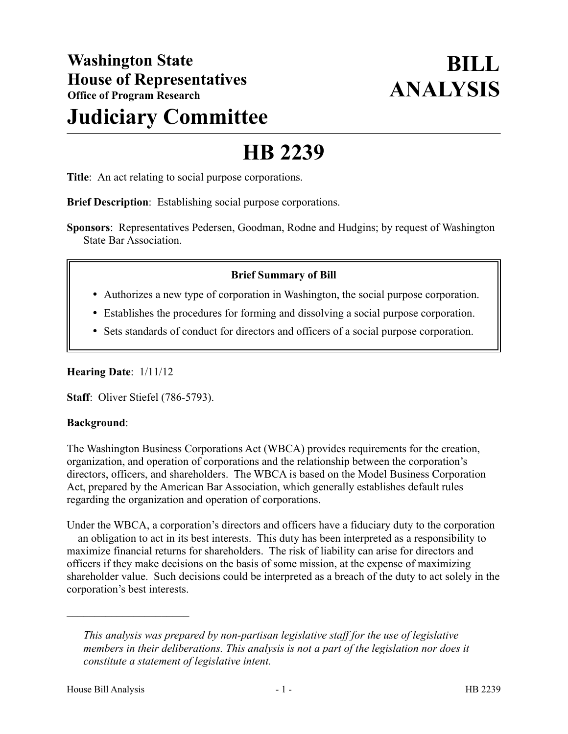# **Judiciary Committee**

# **HB 2239**

**Title**: An act relating to social purpose corporations.

**Brief Description**: Establishing social purpose corporations.

**Sponsors**: Representatives Pedersen, Goodman, Rodne and Hudgins; by request of Washington State Bar Association.

### **Brief Summary of Bill**

- Authorizes a new type of corporation in Washington, the social purpose corporation.
- Establishes the procedures for forming and dissolving a social purpose corporation.
- Sets standards of conduct for directors and officers of a social purpose corporation.

#### **Hearing Date**: 1/11/12

**Staff**: Oliver Stiefel (786-5793).

#### **Background**:

The Washington Business Corporations Act (WBCA) provides requirements for the creation, organization, and operation of corporations and the relationship between the corporation's directors, officers, and shareholders. The WBCA is based on the Model Business Corporation Act, prepared by the American Bar Association, which generally establishes default rules regarding the organization and operation of corporations.

Under the WBCA, a corporation's directors and officers have a fiduciary duty to the corporation —an obligation to act in its best interests. This duty has been interpreted as a responsibility to maximize financial returns for shareholders. The risk of liability can arise for directors and officers if they make decisions on the basis of some mission, at the expense of maximizing shareholder value. Such decisions could be interpreted as a breach of the duty to act solely in the corporation's best interests.

––––––––––––––––––––––

*This analysis was prepared by non-partisan legislative staff for the use of legislative members in their deliberations. This analysis is not a part of the legislation nor does it constitute a statement of legislative intent.*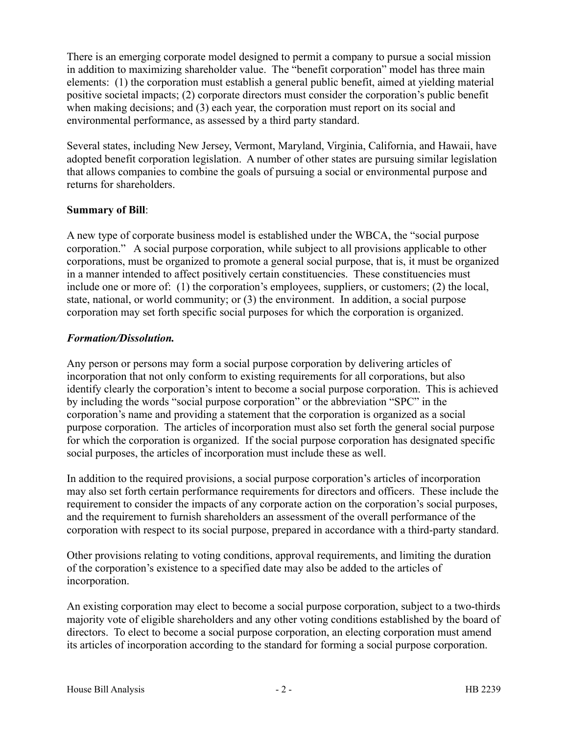There is an emerging corporate model designed to permit a company to pursue a social mission in addition to maximizing shareholder value. The "benefit corporation" model has three main elements: (1) the corporation must establish a general public benefit, aimed at yielding material positive societal impacts; (2) corporate directors must consider the corporation's public benefit when making decisions; and (3) each year, the corporation must report on its social and environmental performance, as assessed by a third party standard.

Several states, including New Jersey, Vermont, Maryland, Virginia, California, and Hawaii, have adopted benefit corporation legislation. A number of other states are pursuing similar legislation that allows companies to combine the goals of pursuing a social or environmental purpose and returns for shareholders.

## **Summary of Bill**:

A new type of corporate business model is established under the WBCA, the "social purpose corporation." A social purpose corporation, while subject to all provisions applicable to other corporations, must be organized to promote a general social purpose, that is, it must be organized in a manner intended to affect positively certain constituencies. These constituencies must include one or more of: (1) the corporation's employees, suppliers, or customers; (2) the local, state, national, or world community; or (3) the environment. In addition, a social purpose corporation may set forth specific social purposes for which the corporation is organized.

#### *Formation/Dissolution.*

Any person or persons may form a social purpose corporation by delivering articles of incorporation that not only conform to existing requirements for all corporations, but also identify clearly the corporation's intent to become a social purpose corporation. This is achieved by including the words "social purpose corporation" or the abbreviation "SPC" in the corporation's name and providing a statement that the corporation is organized as a social purpose corporation. The articles of incorporation must also set forth the general social purpose for which the corporation is organized. If the social purpose corporation has designated specific social purposes, the articles of incorporation must include these as well.

In addition to the required provisions, a social purpose corporation's articles of incorporation may also set forth certain performance requirements for directors and officers. These include the requirement to consider the impacts of any corporate action on the corporation's social purposes, and the requirement to furnish shareholders an assessment of the overall performance of the corporation with respect to its social purpose, prepared in accordance with a third-party standard.

Other provisions relating to voting conditions, approval requirements, and limiting the duration of the corporation's existence to a specified date may also be added to the articles of incorporation.

An existing corporation may elect to become a social purpose corporation, subject to a two-thirds majority vote of eligible shareholders and any other voting conditions established by the board of directors. To elect to become a social purpose corporation, an electing corporation must amend its articles of incorporation according to the standard for forming a social purpose corporation.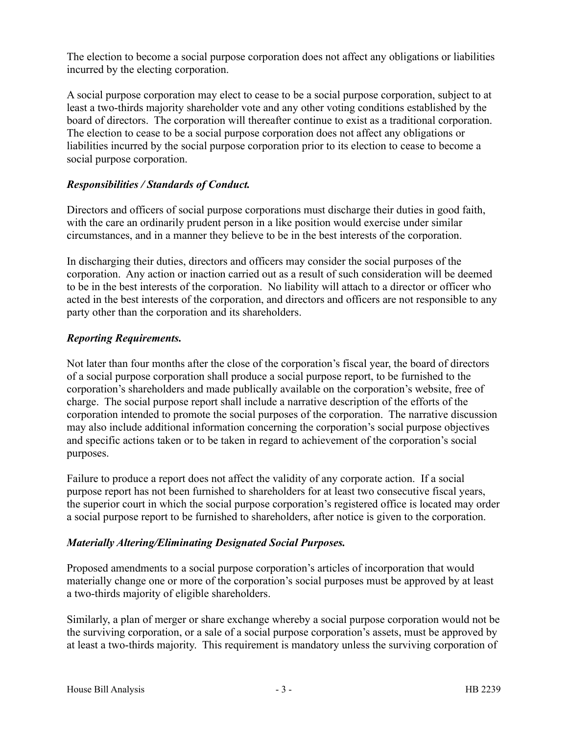The election to become a social purpose corporation does not affect any obligations or liabilities incurred by the electing corporation.

A social purpose corporation may elect to cease to be a social purpose corporation, subject to at least a two-thirds majority shareholder vote and any other voting conditions established by the board of directors. The corporation will thereafter continue to exist as a traditional corporation. The election to cease to be a social purpose corporation does not affect any obligations or liabilities incurred by the social purpose corporation prior to its election to cease to become a social purpose corporation.

## *Responsibilities / Standards of Conduct.*

Directors and officers of social purpose corporations must discharge their duties in good faith, with the care an ordinarily prudent person in a like position would exercise under similar circumstances, and in a manner they believe to be in the best interests of the corporation.

In discharging their duties, directors and officers may consider the social purposes of the corporation. Any action or inaction carried out as a result of such consideration will be deemed to be in the best interests of the corporation. No liability will attach to a director or officer who acted in the best interests of the corporation, and directors and officers are not responsible to any party other than the corporation and its shareholders.

# *Reporting Requirements.*

Not later than four months after the close of the corporation's fiscal year, the board of directors of a social purpose corporation shall produce a social purpose report, to be furnished to the corporation's shareholders and made publically available on the corporation's website, free of charge. The social purpose report shall include a narrative description of the efforts of the corporation intended to promote the social purposes of the corporation. The narrative discussion may also include additional information concerning the corporation's social purpose objectives and specific actions taken or to be taken in regard to achievement of the corporation's social purposes.

Failure to produce a report does not affect the validity of any corporate action. If a social purpose report has not been furnished to shareholders for at least two consecutive fiscal years, the superior court in which the social purpose corporation's registered office is located may order a social purpose report to be furnished to shareholders, after notice is given to the corporation.

# *Materially Altering/Eliminating Designated Social Purposes.*

Proposed amendments to a social purpose corporation's articles of incorporation that would materially change one or more of the corporation's social purposes must be approved by at least a two-thirds majority of eligible shareholders.

Similarly, a plan of merger or share exchange whereby a social purpose corporation would not be the surviving corporation, or a sale of a social purpose corporation's assets, must be approved by at least a two-thirds majority. This requirement is mandatory unless the surviving corporation of